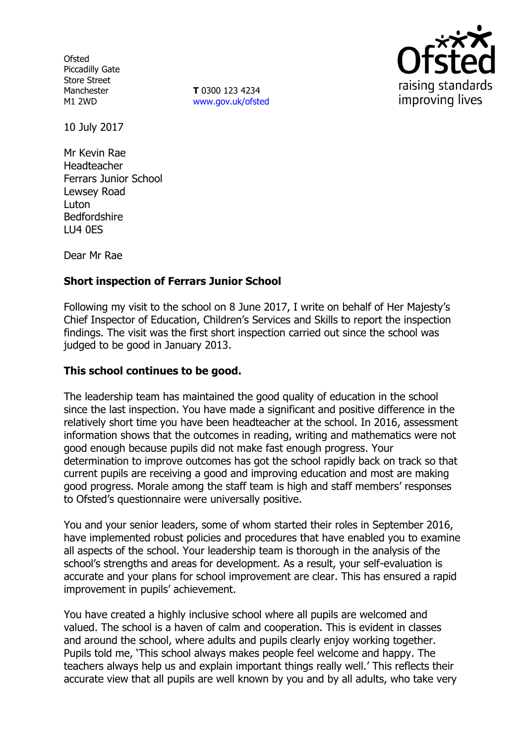**Ofsted** Piccadilly Gate Store Street Manchester M1 2WD

**T** 0300 123 4234 www.gov.uk/ofsted



10 July 2017

Mr Kevin Rae Headteacher Ferrars Junior School Lewsey Road Luton Bedfordshire LU4 0ES

Dear Mr Rae

# **Short inspection of Ferrars Junior School**

Following my visit to the school on 8 June 2017, I write on behalf of Her Majesty's Chief Inspector of Education, Children's Services and Skills to report the inspection findings. The visit was the first short inspection carried out since the school was judged to be good in January 2013.

## **This school continues to be good.**

The leadership team has maintained the good quality of education in the school since the last inspection. You have made a significant and positive difference in the relatively short time you have been headteacher at the school. In 2016, assessment information shows that the outcomes in reading, writing and mathematics were not good enough because pupils did not make fast enough progress. Your determination to improve outcomes has got the school rapidly back on track so that current pupils are receiving a good and improving education and most are making good progress. Morale among the staff team is high and staff members' responses to Ofsted's questionnaire were universally positive.

You and your senior leaders, some of whom started their roles in September 2016, have implemented robust policies and procedures that have enabled you to examine all aspects of the school. Your leadership team is thorough in the analysis of the school's strengths and areas for development. As a result, your self-evaluation is accurate and your plans for school improvement are clear. This has ensured a rapid improvement in pupils' achievement.

You have created a highly inclusive school where all pupils are welcomed and valued. The school is a haven of calm and cooperation. This is evident in classes and around the school, where adults and pupils clearly enjoy working together. Pupils told me, 'This school always makes people feel welcome and happy. The teachers always help us and explain important things really well.' This reflects their accurate view that all pupils are well known by you and by all adults, who take very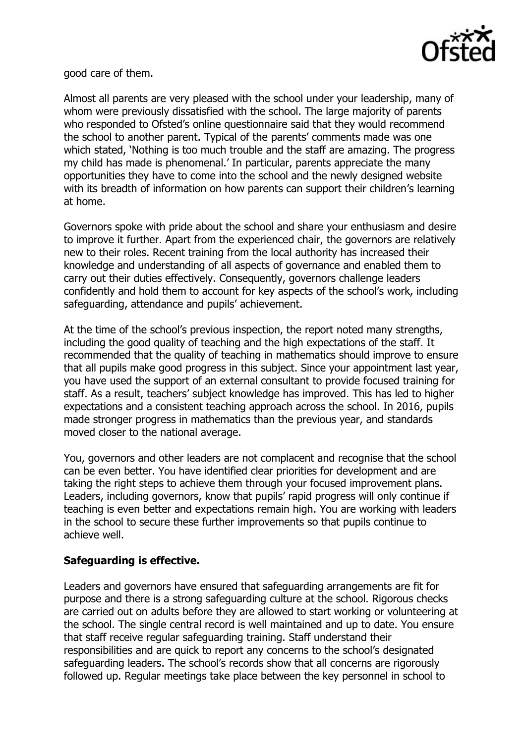

good care of them.

Almost all parents are very pleased with the school under your leadership, many of whom were previously dissatisfied with the school. The large majority of parents who responded to Ofsted's online questionnaire said that they would recommend the school to another parent. Typical of the parents' comments made was one which stated, 'Nothing is too much trouble and the staff are amazing. The progress my child has made is phenomenal.' In particular, parents appreciate the many opportunities they have to come into the school and the newly designed website with its breadth of information on how parents can support their children's learning at home.

Governors spoke with pride about the school and share your enthusiasm and desire to improve it further. Apart from the experienced chair, the governors are relatively new to their roles. Recent training from the local authority has increased their knowledge and understanding of all aspects of governance and enabled them to carry out their duties effectively. Consequently, governors challenge leaders confidently and hold them to account for key aspects of the school's work, including safeguarding, attendance and pupils' achievement.

At the time of the school's previous inspection, the report noted many strengths, including the good quality of teaching and the high expectations of the staff. It recommended that the quality of teaching in mathematics should improve to ensure that all pupils make good progress in this subject. Since your appointment last year, you have used the support of an external consultant to provide focused training for staff. As a result, teachers' subject knowledge has improved. This has led to higher expectations and a consistent teaching approach across the school. In 2016, pupils made stronger progress in mathematics than the previous year, and standards moved closer to the national average.

You, governors and other leaders are not complacent and recognise that the school can be even better. You have identified clear priorities for development and are taking the right steps to achieve them through your focused improvement plans. Leaders, including governors, know that pupils' rapid progress will only continue if teaching is even better and expectations remain high. You are working with leaders in the school to secure these further improvements so that pupils continue to achieve well.

## **Safeguarding is effective.**

Leaders and governors have ensured that safeguarding arrangements are fit for purpose and there is a strong safeguarding culture at the school. Rigorous checks are carried out on adults before they are allowed to start working or volunteering at the school. The single central record is well maintained and up to date. You ensure that staff receive regular safeguarding training. Staff understand their responsibilities and are quick to report any concerns to the school's designated safeguarding leaders. The school's records show that all concerns are rigorously followed up. Regular meetings take place between the key personnel in school to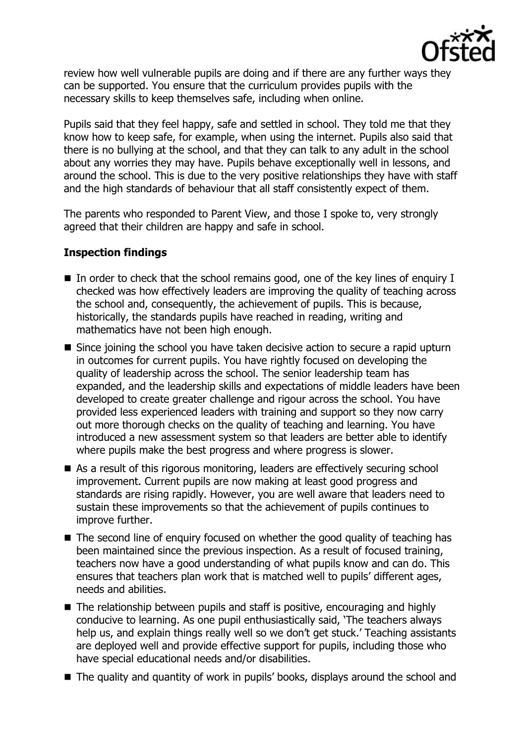

review how well vulnerable pupils are doing and if there are any further ways they can be supported. You ensure that the curriculum provides pupils with the necessary skills to keep themselves safe, including when online.

Pupils said that they feel happy, safe and settled in school. They told me that they know how to keep safe, for example, when using the internet. Pupils also said that there is no bullying at the school, and that they can talk to any adult in the school about any worries they may have. Pupils behave exceptionally well in lessons, and around the school. This is due to the very positive relationships they have with staff and the high standards of behaviour that all staff consistently expect of them.

The parents who responded to Parent View, and those I spoke to, very strongly agreed that their children are happy and safe in school.

## **Inspection findings**

- In order to check that the school remains good, one of the key lines of enquiry I checked was how effectively leaders are improving the quality of teaching across the school and, consequently, the achievement of pupils. This is because, historically, the standards pupils have reached in reading, writing and mathematics have not been high enough.
- Since joining the school you have taken decisive action to secure a rapid upturn in outcomes for current pupils. You have rightly focused on developing the quality of leadership across the school. The senior leadership team has expanded, and the leadership skills and expectations of middle leaders have been developed to create greater challenge and rigour across the school. You have provided less experienced leaders with training and support so they now carry out more thorough checks on the quality of teaching and learning. You have introduced a new assessment system so that leaders are better able to identify where pupils make the best progress and where progress is slower.
- As a result of this rigorous monitoring, leaders are effectively securing school improvement. Current pupils are now making at least good progress and standards are rising rapidly. However, you are well aware that leaders need to sustain these improvements so that the achievement of pupils continues to improve further.
- The second line of enquiry focused on whether the good quality of teaching has been maintained since the previous inspection. As a result of focused training, teachers now have a good understanding of what pupils know and can do. This ensures that teachers plan work that is matched well to pupils' different ages, needs and abilities.
- The relationship between pupils and staff is positive, encouraging and highly conducive to learning. As one pupil enthusiastically said, 'The teachers always help us, and explain things really well so we don't get stuck.' Teaching assistants are deployed well and provide effective support for pupils, including those who have special educational needs and/or disabilities.
- The quality and quantity of work in pupils' books, displays around the school and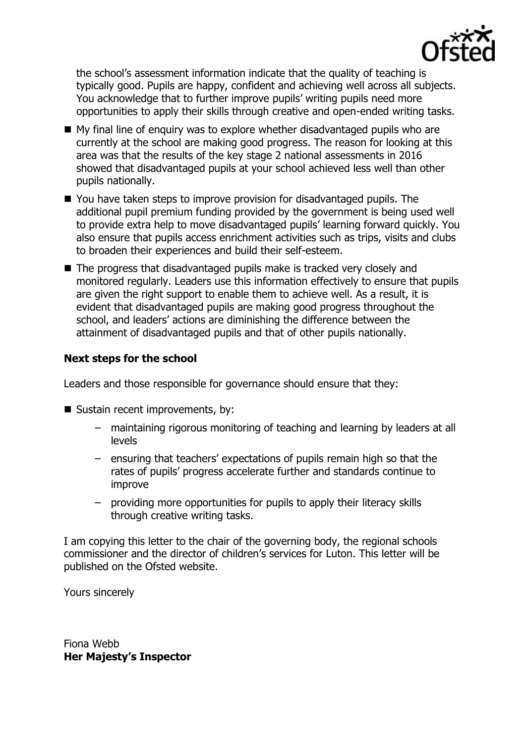

the school's assessment information indicate that the quality of teaching is typically good. Pupils are happy, confident and achieving well across all subjects. You acknowledge that to further improve pupils' writing pupils need more opportunities to apply their skills through creative and open-ended writing tasks.

- My final line of enquiry was to explore whether disadvantaged pupils who are currently at the school are making good progress. The reason for looking at this area was that the results of the key stage 2 national assessments in 2016 showed that disadvantaged pupils at your school achieved less well than other pupils nationally.
- You have taken steps to improve provision for disadvantaged pupils. The additional pupil premium funding provided by the government is being used well to provide extra help to move disadvantaged pupils' learning forward quickly. You also ensure that pupils access enrichment activities such as trips, visits and clubs to broaden their experiences and build their self-esteem.
- The progress that disadvantaged pupils make is tracked very closely and monitored regularly. Leaders use this information effectively to ensure that pupils are given the right support to enable them to achieve well. As a result, it is evident that disadvantaged pupils are making good progress throughout the school, and leaders' actions are diminishing the difference between the attainment of disadvantaged pupils and that of other pupils nationally.

# **Next steps for the school**

Leaders and those responsible for governance should ensure that they:

- Sustain recent improvements, by:
	- maintaining rigorous monitoring of teaching and learning by leaders at all levels
	- ensuring that teachers' expectations of pupils remain high so that the rates of pupils' progress accelerate further and standards continue to improve
	- providing more opportunities for pupils to apply their literacy skills through creative writing tasks.

I am copying this letter to the chair of the governing body, the regional schools commissioner and the director of children's services for Luton. This letter will be published on the Ofsted website.

Yours sincerely

Fiona Webb **Her Majesty's Inspector**